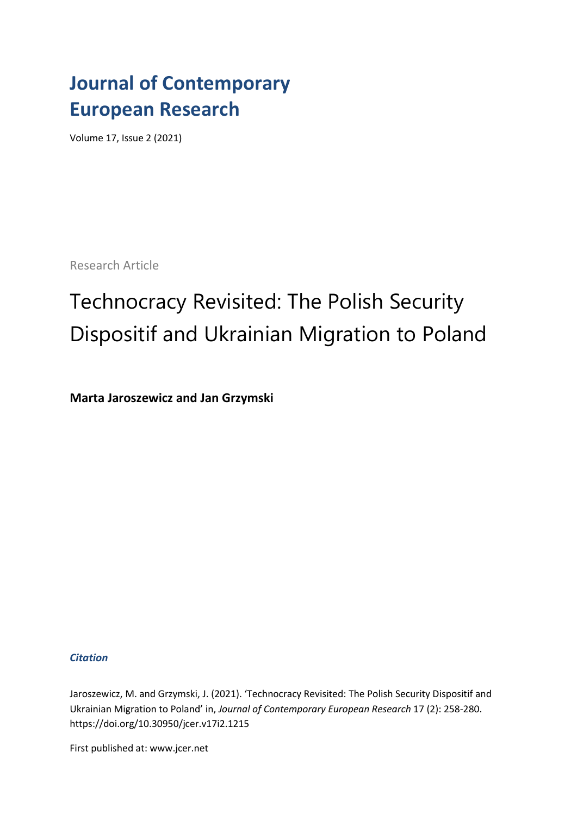## **Journal of Contemporary European Research**

Volume 17, Issue 2 (2021)

Research Article

# Technocracy Revisited: The Polish Security Dispositif and Ukrainian Migration to Poland

**Marta Jaroszewicz and Jan Grzymski**

### *Citation*

Jaroszewicz, M. and Grzymski, J. (2021). 'Technocracy Revisited: The Polish Security Dispositif and Ukrainian Migration to Poland' in, *Journal of Contemporary European Research* 17 (2): 258-280. https://doi.org/10.30950/jcer.v17i2.1215

First published at: www.jcer.net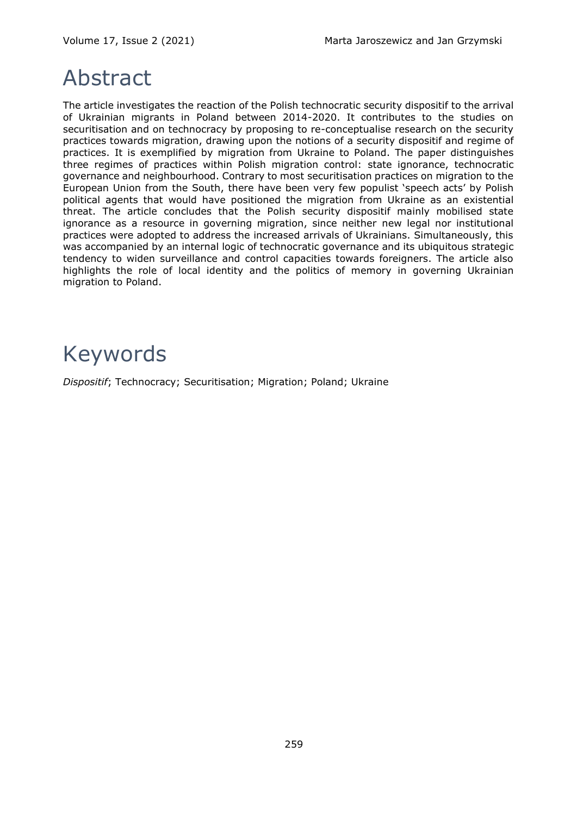### Abstract

The article investigates the reaction of the Polish technocratic security dispositif to the arrival of Ukrainian migrants in Poland between 2014-2020. It contributes to the studies on securitisation and on technocracy by proposing to re-conceptualise research on the security practices towards migration, drawing upon the notions of a security dispositif and regime of practices. It is exemplified by migration from Ukraine to Poland. The paper distinguishes three regimes of practices within Polish migration control: state ignorance, technocratic governance and neighbourhood. Contrary to most securitisation practices on migration to the European Union from the South, there have been very few populist 'speech acts' by Polish political agents that would have positioned the migration from Ukraine as an existential threat. The article concludes that the Polish security dispositif mainly mobilised state ignorance as a resource in governing migration, since neither new legal nor institutional practices were adopted to address the increased arrivals of Ukrainians. Simultaneously, this was accompanied by an internal logic of technocratic governance and its ubiquitous strategic tendency to widen surveillance and control capacities towards foreigners. The article also highlights the role of local identity and the politics of memory in governing Ukrainian migration to Poland.

## Keywords

*Dispositif*; Technocracy; Securitisation; Migration; Poland; Ukraine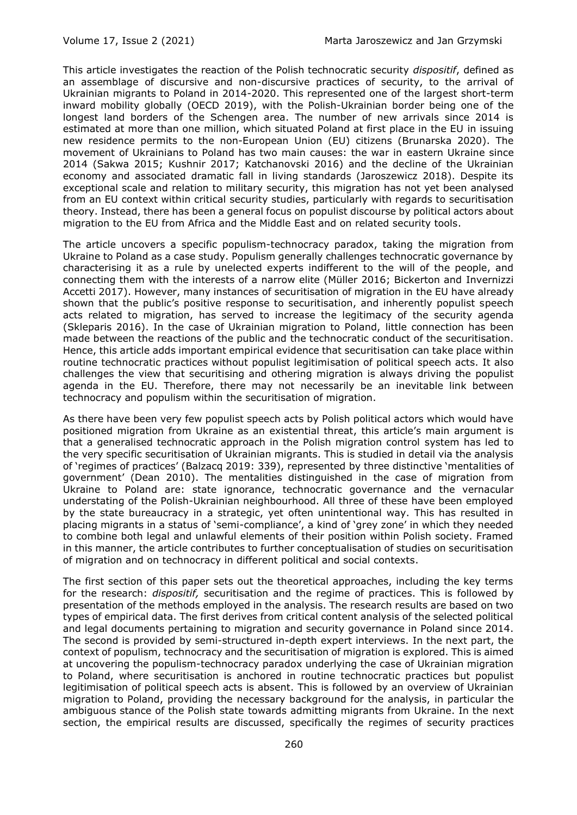This article investigates the reaction of the Polish technocratic security *dispositif*, defined as an assemblage of discursive and non-discursive practices of security, to the arrival of Ukrainian migrants to Poland in 2014-2020. This represented one of the largest short-term inward mobility globally (OECD 2019), with the Polish-Ukrainian border being one of the longest land borders of the Schengen area. The number of new arrivals since 2014 is estimated at more than one million, which situated Poland at first place in the EU in issuing new residence permits to the non-European Union (EU) citizens (Brunarska 2020). The movement of Ukrainians to Poland has two main causes: the war in eastern Ukraine since 2014 (Sakwa 2015; Kushnir 2017; Katchanovski 2016) and the decline of the Ukrainian economy and associated dramatic fall in living standards (Jaroszewicz 2018). Despite its exceptional scale and relation to military security, this migration has not yet been analysed from an EU context within critical security studies, particularly with regards to securitisation theory. Instead, there has been a general focus on populist discourse by political actors about migration to the EU from Africa and the Middle East and on related security tools.

The article uncovers a specific populism-technocracy paradox, taking the migration from Ukraine to Poland as a case study. Populism generally challenges technocratic governance by characterising it as a rule by unelected experts indifferent to the will of the people, and connecting them with the interests of a narrow elite (Müller 2016; Bickerton and Invernizzi Accetti 2017). However, many instances of securitisation of migration in the EU have already shown that the public's positive response to securitisation, and inherently populist speech acts related to migration, has served to increase the legitimacy of the security agenda (Skleparis 2016). In the case of Ukrainian migration to Poland, little connection has been made between the reactions of the public and the technocratic conduct of the securitisation. Hence, this article adds important empirical evidence that securitisation can take place within routine technocratic practices without populist legitimisation of political speech acts. It also challenges the view that securitising and othering migration is always driving the populist agenda in the EU. Therefore, there may not necessarily be an inevitable link between technocracy and populism within the securitisation of migration.

As there have been very few populist speech acts by Polish political actors which would have positioned migration from Ukraine as an existential threat, this article's main argument is that a generalised technocratic approach in the Polish migration control system has led to the very specific securitisation of Ukrainian migrants. This is studied in detail via the analysis of 'regimes of practices' (Balzacq 2019: 339), represented by three distinctive 'mentalities of government' (Dean 2010). The mentalities distinguished in the case of migration from Ukraine to Poland are: state ignorance, technocratic governance and the vernacular understating of the Polish-Ukrainian neighbourhood. All three of these have been employed by the state bureaucracy in a strategic, yet often unintentional way. This has resulted in placing migrants in a status of 'semi-compliance', a kind of 'grey zone' in which they needed to combine both legal and unlawful elements of their position within Polish society. Framed in this manner, the article contributes to further conceptualisation of studies on securitisation of migration and on technocracy in different political and social contexts.

The first section of this paper sets out the theoretical approaches, including the key terms for the research: *dispositif,* securitisation and the regime of practices. This is followed by presentation of the methods employed in the analysis. The research results are based on two types of empirical data. The first derives from critical content analysis of the selected political and legal documents pertaining to migration and security governance in Poland since 2014. The second is provided by semi-structured in-depth expert interviews. In the next part, the context of populism, technocracy and the securitisation of migration is explored. This is aimed at uncovering the populism-technocracy paradox underlying the case of Ukrainian migration to Poland, where securitisation is anchored in routine technocratic practices but populist legitimisation of political speech acts is absent. This is followed by an overview of Ukrainian migration to Poland, providing the necessary background for the analysis, in particular the ambiguous stance of the Polish state towards admitting migrants from Ukraine. In the next section, the empirical results are discussed, specifically the regimes of security practices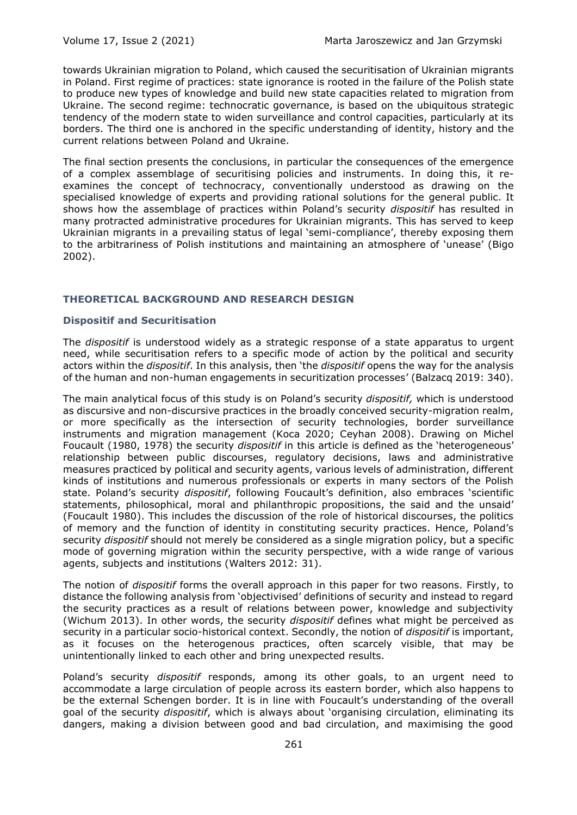towards Ukrainian migration to Poland, which caused the securitisation of Ukrainian migrants in Poland. First regime of practices: state ignorance is rooted in the failure of the Polish state to produce new types of knowledge and build new state capacities related to migration from Ukraine. The second regime: technocratic governance, is based on the ubiquitous strategic tendency of the modern state to widen surveillance and control capacities, particularly at its borders. The third one is anchored in the specific understanding of identity, history and the current relations between Poland and Ukraine.

The final section presents the conclusions, in particular the consequences of the emergence of a complex assemblage of securitising policies and instruments. In doing this, it reexamines the concept of technocracy, conventionally understood as drawing on the specialised knowledge of experts and providing rational solutions for the general public. It shows how the assemblage of practices within Poland's security *dispositif* has resulted in many protracted administrative procedures for Ukrainian migrants. This has served to keep Ukrainian migrants in a prevailing status of legal 'semi-compliance', thereby exposing them to the arbitrariness of Polish institutions and maintaining an atmosphere of 'unease' (Bigo 2002).

#### **THEORETICAL BACKGROUND AND RESEARCH DESIGN**

#### **Dispositif and Securitisation**

The *dispositif* is understood widely as a strategic response of a state apparatus to urgent need, while securitisation refers to a specific mode of action by the political and security actors within the *dispositif*. In this analysis, then 'the *dispositif* opens the way for the analysis of the human and non-human engagements in securitization processes' (Balzacq 2019: 340).

The main analytical focus of this study is on Poland's security *dispositif,* which is understood as discursive and non-discursive practices in the broadly conceived security-migration realm, or more specifically as the intersection of security technologies, border surveillance instruments and migration management (Koca 2020; Ceyhan 2008). Drawing on Michel Foucault (1980, 1978) the security *dispositif* in this article is defined as the 'heterogeneous' relationship between public discourses, regulatory decisions, laws and administrative measures practiced by political and security agents, various levels of administration, different kinds of institutions and numerous professionals or experts in many sectors of the Polish state. Poland's security *dispositif*, following Foucault's definition, also embraces 'scientific statements, philosophical, moral and philanthropic propositions, the said and the unsaid' (Foucault 1980). This includes the discussion of the role of historical discourses, the politics of memory and the function of identity in constituting security practices. Hence, Poland's security *dispositif* should not merely be considered as a single migration policy, but a specific mode of governing migration within the security perspective, with a wide range of various agents, subjects and institutions (Walters 2012: 31).

The notion of *dispositif* forms the overall approach in this paper for two reasons. Firstly, to distance the following analysis from 'objectivised' definitions of security and instead to regard the security practices as a result of relations between power, knowledge and subjectivity (Wichum 2013). In other words, the security *dispositif* defines what might be perceived as security in a particular socio-historical context. Secondly, the notion of *dispositif* is important, as it focuses on the heterogenous practices, often scarcely visible, that may be unintentionally linked to each other and bring unexpected results.

Poland's security *dispositif* responds, among its other goals, to an urgent need to accommodate a large circulation of people across its eastern border, which also happens to be the external Schengen border. It is in line with Foucault's understanding of the overall goal of the security *dispositif*, which is always about 'organising circulation, eliminating its dangers, making a division between good and bad circulation, and maximising the good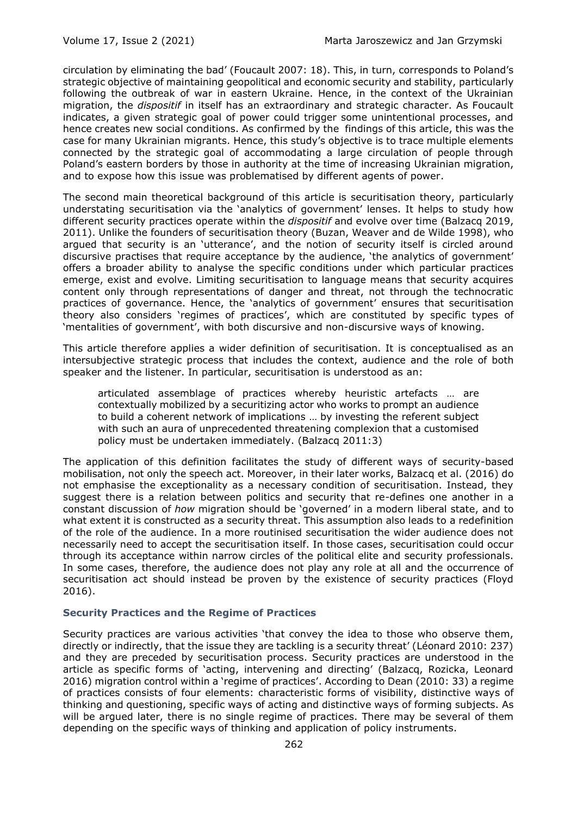circulation by eliminating the bad' (Foucault 2007: 18). This, in turn, corresponds to Poland's strategic objective of maintaining geopolitical and economic security and stability, particularly following the outbreak of war in eastern Ukraine. Hence, in the context of the Ukrainian migration, the *dispositif* in itself has an extraordinary and strategic character. As Foucault indicates, a given strategic goal of power could trigger some unintentional processes, and hence creates new social conditions. As confirmed by the findings of this article, this was the case for many Ukrainian migrants. Hence, this study's objective is to trace multiple elements connected by the strategic goal of accommodating a large circulation of people through Poland's eastern borders by those in authority at the time of increasing Ukrainian migration, and to expose how this issue was problematised by different agents of power.

The second main theoretical background of this article is securitisation theory, particularly understating securitisation via the 'analytics of government' lenses. It helps to study how different security practices operate within the *dispositif* and evolve over time (Balzacq 2019, 2011). Unlike the founders of securitisation theory (Buzan, Weaver and de Wilde 1998), who argued that security is an 'utterance', and the notion of security itself is circled around discursive practises that require acceptance by the audience, 'the analytics of government' offers a broader ability to analyse the specific conditions under which particular practices emerge, exist and evolve. Limiting securitisation to language means that security acquires content only through representations of danger and threat, not through the technocratic practices of governance. Hence, the 'analytics of government' ensures that securitisation theory also considers 'regimes of practices', which are constituted by specific types of 'mentalities of government', with both discursive and non-discursive ways of knowing.

This article therefore applies a wider definition of securitisation. It is conceptualised as an intersubjective strategic process that includes the context, audience and the role of both speaker and the listener. In particular, securitisation is understood as an:

articulated assemblage of practices whereby heuristic artefacts … are contextually mobilized by a securitizing actor who works to prompt an audience to build a coherent network of implications … by investing the referent subject with such an aura of unprecedented threatening complexion that a customised policy must be undertaken immediately. (Balzacq 2011:3)

The application of this definition facilitates the study of different ways of security-based mobilisation, not only the speech act. Moreover, in their later works, Balzacq et al. (2016) do not emphasise the exceptionality as a necessary condition of securitisation. Instead, they suggest there is a relation between politics and security that re-defines one another in a constant discussion of *how* migration should be 'governed' in a modern liberal state, and to what extent it is constructed as a security threat. This assumption also leads to a redefinition of the role of the audience. In a more routinised securitisation the wider audience does not necessarily need to accept the securitisation itself. In those cases, securitisation could occur through its acceptance within narrow circles of the political elite and security professionals. In some cases, therefore, the audience does not play any role at all and the occurrence of securitisation act should instead be proven by the existence of security practices (Floyd 2016).

#### **Security Practices and the Regime of Practices**

Security practices are various activities 'that convey the idea to those who observe them, directly or indirectly, that the issue they are tackling is a security threat' (Léonard 2010: 237) and they are preceded by securitisation process. Security practices are understood in the article as specific forms of 'acting, intervening and directing' (Balzacq, Rozicka, Leonard 2016) migration control within a 'regime of practices'. According to Dean (2010: 33) a regime of practices consists of four elements: characteristic forms of visibility, distinctive ways of thinking and questioning, specific ways of acting and distinctive ways of forming subjects. As will be argued later, there is no single regime of practices. There may be several of them depending on the specific ways of thinking and application of policy instruments.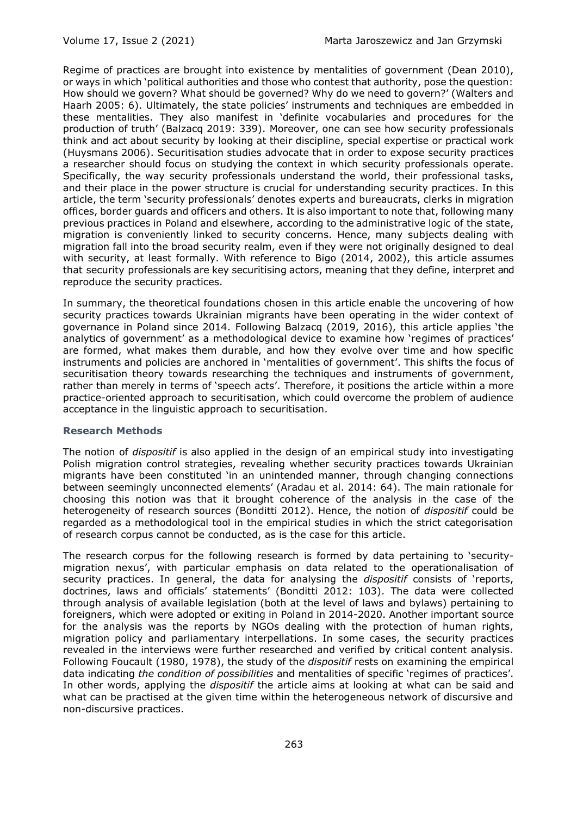Regime of practices are brought into existence by mentalities of government (Dean 2010), or ways in which 'political authorities and those who contest that authority, pose the question: How should we govern? What should be governed? Why do we need to govern?' (Walters and Haarh 2005: 6). Ultimately, the state policies' instruments and techniques are embedded in these mentalities. They also manifest in 'definite vocabularies and procedures for the production of truth' (Balzacq 2019: 339). Moreover, one can see how security professionals think and act about security by looking at their discipline, special expertise or practical work (Huysmans 2006). Securitisation studies advocate that in order to expose security practices a researcher should focus on studying the context in which security professionals operate. Specifically, the way security professionals understand the world, their professional tasks, and their place in the power structure is crucial for understanding security practices. In this article, the term 'security professionals' denotes experts and bureaucrats, clerks in migration offices, border guards and officers and others. It is also important to note that, following many previous practices in Poland and elsewhere, according to the administrative logic of the state, migration is conveniently linked to security concerns. Hence, many subjects dealing with migration fall into the broad security realm, even if they were not originally designed to deal with security, at least formally. With reference to Bigo (2014, 2002), this article assumes that security professionals are key securitising actors, meaning that they define, interpret and reproduce the security practices.

In summary, the theoretical foundations chosen in this article enable the uncovering of how security practices towards Ukrainian migrants have been operating in the wider context of governance in Poland since 2014. Following Balzacq (2019, 2016), this article applies 'the analytics of government' as a methodological device to examine how 'regimes of practices' are formed, what makes them durable, and how they evolve over time and how specific instruments and policies are anchored in 'mentalities of government'. This shifts the focus of securitisation theory towards researching the techniques and instruments of government, rather than merely in terms of 'speech acts'. Therefore, it positions the article within a more practice-oriented approach to securitisation, which could overcome the problem of audience acceptance in the linguistic approach to securitisation.

#### **Research Methods**

The notion of *dispositif* is also applied in the design of an empirical study into investigating Polish migration control strategies, revealing whether security practices towards Ukrainian migrants have been constituted 'in an unintended manner, through changing connections between seemingly unconnected elements' (Aradau et al. 2014: 64). The main rationale for choosing this notion was that it brought coherence of the analysis in the case of the heterogeneity of research sources (Bonditti 2012). Hence, the notion of *dispositif* could be regarded as a methodological tool in the empirical studies in which the strict categorisation of research corpus cannot be conducted, as is the case for this article.

The research corpus for the following research is formed by data pertaining to 'securitymigration nexus', with particular emphasis on data related to the operationalisation of security practices. In general, the data for analysing the *dispositif* consists of 'reports, doctrines, laws and officials' statements' (Bonditti 2012: 103). The data were collected through analysis of available legislation (both at the level of laws and bylaws) pertaining to foreigners, which were adopted or exiting in Poland in 2014-2020. Another important source for the analysis was the reports by NGOs dealing with the protection of human rights, migration policy and parliamentary interpellations. In some cases, the security practices revealed in the interviews were further researched and verified by critical content analysis. Following Foucault (1980, 1978), the study of the *dispositif* rests on examining the empirical data indicating *the condition of possibilities* and mentalities of specific 'regimes of practices'. In other words, applying the *dispositif* the article aims at looking at what can be said and what can be practised at the given time within the heterogeneous network of discursive and non-discursive practices.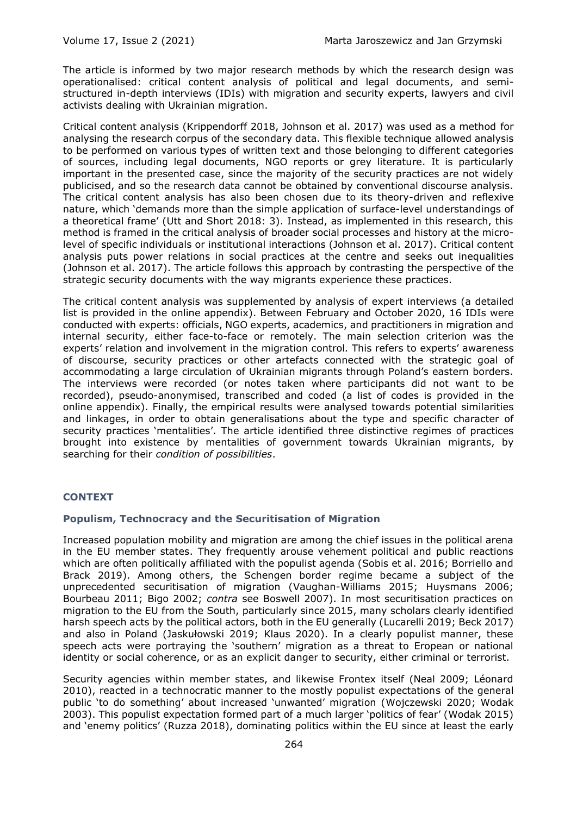The article is informed by two major research methods by which the research design was operationalised: critical content analysis of political and legal documents, and semistructured in-depth interviews (IDIs) with migration and security experts, lawyers and civil activists dealing with Ukrainian migration.

Critical content analysis (Krippendorff 2018, Johnson et al. 2017) was used as a method for analysing the research corpus of the secondary data. This flexible technique allowed analysis to be performed on various types of written text and those belonging to different categories of sources, including legal documents, NGO reports or grey literature. It is particularly important in the presented case, since the majority of the security practices are not widely publicised, and so the research data cannot be obtained by conventional discourse analysis. The critical content analysis has also been chosen due to its theory-driven and reflexive nature, which 'demands more than the simple application of surface-level understandings of a theoretical frame' (Utt and Short 2018: 3). Instead, as implemented in this research, this method is framed in the critical analysis of broader social processes and history at the microlevel of specific individuals or institutional interactions (Johnson et al. 2017). Critical content analysis puts power relations in social practices at the centre and seeks out inequalities (Johnson et al. 2017). The article follows this approach by contrasting the perspective of the strategic security documents with the way migrants experience these practices.

The critical content analysis was supplemented by analysis of expert interviews (a detailed list is provided in the online appendix). Between February and October 2020, 16 IDIs were conducted with experts: officials, NGO experts, academics, and practitioners in migration and internal security, either face-to-face or remotely. The main selection criterion was the experts' relation and involvement in the migration control*.* This refers to experts' awareness of discourse, security practices or other artefacts connected with the strategic goal of accommodating a large circulation of Ukrainian migrants through Poland's eastern borders. The interviews were recorded (or notes taken where participants did not want to be recorded), pseudo-anonymised, transcribed and coded (a list of codes is provided in the online appendix). Finally, the empirical results were analysed towards potential similarities and linkages, in order to obtain generalisations about the type and specific character of security practices 'mentalities'. The article identified three distinctive regimes of practices brought into existence by mentalities of government towards Ukrainian migrants, by searching for their *condition of possibilities*.

### **CONTEXT**

### **Populism, Technocracy and the Securitisation of Migration**

Increased population mobility and migration are among the chief issues in the political arena in the EU member states. They frequently arouse vehement political and public reactions which are often politically affiliated with the populist agenda (Sobis et al. 2016; Borriello and Brack 2019). Among others, the Schengen border regime became a subject of the unprecedented securitisation of migration (Vaughan-Williams 2015; Huysmans 2006; Bourbeau 2011; Bigo 2002; *contra* see Boswell 2007). In most securitisation practices on migration to the EU from the South, particularly since 2015, many scholars clearly identified harsh speech acts by the political actors, both in the EU generally (Lucarelli 2019; Beck 2017) and also in Poland (Jaskułowski 2019; Klaus 2020). In a clearly populist manner, these speech acts were portraying the 'southern' migration as a threat to Eropean or national identity or social coherence, or as an explicit danger to security, either criminal or terrorist.

Security agencies within member states, and likewise Frontex itself (Neal 2009; Léonard 2010), reacted in a technocratic manner to the mostly populist expectations of the general public 'to do something' about increased 'unwanted' migration (Wojczewski 2020; Wodak 2003). This populist expectation formed part of a much larger 'politics of fear' (Wodak 2015) and 'enemy politics' (Ruzza 2018), dominating politics within the EU since at least the early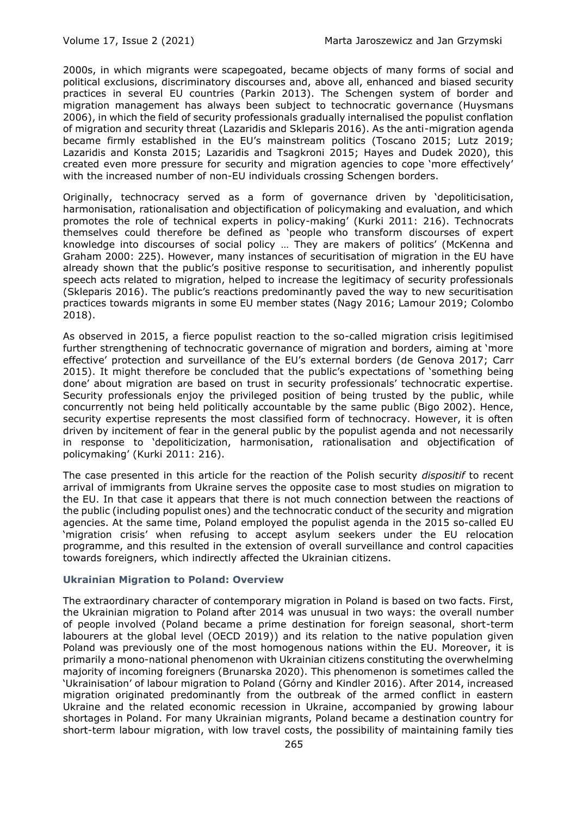2000s, in which migrants were scapegoated, became objects of many forms of social and political exclusions, discriminatory discourses and, above all, enhanced and biased security practices in several EU countries (Parkin 2013). The Schengen system of border and migration management has always been subject to technocratic governance (Huysmans 2006), in which the field of security professionals gradually internalised the populist conflation of migration and security threat (Lazaridis and Skleparis 2016). As the anti-migration agenda became firmly established in the EU's mainstream politics (Toscano 2015; Lutz 2019; Lazaridis and Konsta 2015; Lazaridis and Tsagkroni 2015; Hayes and Dudek 2020), this created even more pressure for security and migration agencies to cope 'more effectively' with the increased number of non-EU individuals crossing Schengen borders.

Originally, technocracy served as a form of governance driven by 'depoliticisation, harmonisation, rationalisation and objectification of policymaking and evaluation, and which promotes the role of technical experts in policy-making' (Kurki 2011: 216). Technocrats themselves could therefore be defined as 'people who transform discourses of expert knowledge into discourses of social policy … They are makers of politics' (McKenna and Graham 2000: 225). However, many instances of securitisation of migration in the EU have already shown that the public's positive response to securitisation, and inherently populist speech acts related to migration, helped to increase the legitimacy of security professionals (Skleparis 2016). The public's reactions predominantly paved the way to new securitisation practices towards migrants in some EU member states (Nagy 2016; Lamour 2019; Colombo 2018).

As observed in 2015, a fierce populist reaction to the so-called migration crisis legitimised further strengthening of technocratic governance of migration and borders, aiming at 'more effective' protection and surveillance of the EU's external borders (de Genova 2017; Carr 2015). It might therefore be concluded that the public's expectations of 'something being done' about migration are based on trust in security professionals' technocratic expertise. Security professionals enjoy the privileged position of being trusted by the public, while concurrently not being held politically accountable by the same public (Bigo 2002). Hence, security expertise represents the most classified form of technocracy. However, it is often driven by incitement of fear in the general public by the populist agenda and not necessarily in response to 'depoliticization, harmonisation, rationalisation and objectification of policymaking' (Kurki 2011: 216).

The case presented in this article for the reaction of the Polish security *dispositif* to recent arrival of immigrants from Ukraine serves the opposite case to most studies on migration to the EU. In that case it appears that there is not much connection between the reactions of the public (including populist ones) and the technocratic conduct of the security and migration agencies. At the same time, Poland employed the populist agenda in the 2015 so-called EU 'migration crisis' when refusing to accept asylum seekers under the EU relocation programme, and this resulted in the extension of overall surveillance and control capacities towards foreigners, which indirectly affected the Ukrainian citizens.

#### **Ukrainian Migration to Poland: Overview**

The extraordinary character of contemporary migration in Poland is based on two facts. First, the Ukrainian migration to Poland after 2014 was unusual in two ways: the overall number of people involved (Poland became a prime destination for foreign seasonal, short-term labourers at the global level (OECD 2019)) and its relation to the native population given Poland was previously one of the most homogenous nations within the EU. Moreover, it is primarily a mono-national phenomenon with Ukrainian citizens constituting the overwhelming majority of incoming foreigners (Brunarska 2020). This phenomenon is sometimes called the 'Ukrainisation' of labour migration to Poland (Górny and Kindler 2016). After 2014, increased migration originated predominantly from the outbreak of the armed conflict in eastern Ukraine and the related economic recession in Ukraine, accompanied by growing labour shortages in Poland. For many Ukrainian migrants, Poland became a destination country for short-term labour migration, with low travel costs, the possibility of maintaining family ties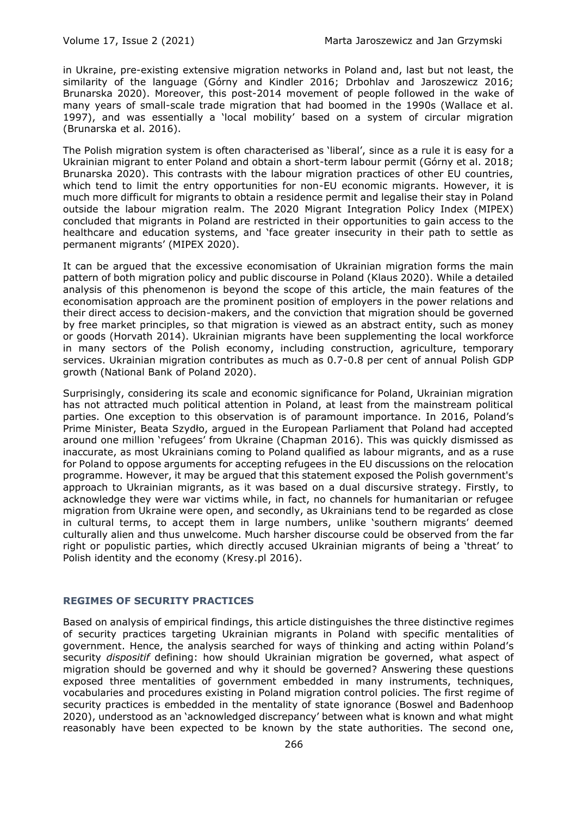in Ukraine, pre-existing extensive migration networks in Poland and, last but not least, the similarity of the language (Górny and Kindler 2016; Drbohlav and Jaroszewicz 2016; Brunarska 2020). Moreover, this post-2014 movement of people followed in the wake of many years of small-scale trade migration that had boomed in the 1990s (Wallace et al. 1997), and was essentially a 'local mobility' based on a system of circular migration (Brunarska et al. 2016).

The Polish migration system is often characterised as 'liberal', since as a rule it is easy for a Ukrainian migrant to enter Poland and obtain a short-term labour permit (Górny et al. 2018; Brunarska 2020). This contrasts with the labour migration practices of other EU countries, which tend to limit the entry opportunities for non-EU economic migrants. However, it is much more difficult for migrants to obtain a residence permit and legalise their stay in Poland outside the labour migration realm. The 2020 Migrant Integration Policy Index (MIPEX) concluded that migrants in Poland are restricted in their opportunities to gain access to the healthcare and education systems, and 'face greater insecurity in their path to settle as permanent migrants' (MIPEX 2020).

It can be argued that the excessive economisation of Ukrainian migration forms the main pattern of both migration policy and public discourse in Poland (Klaus 2020). While a detailed analysis of this phenomenon is beyond the scope of this article, the main features of the economisation approach are the prominent position of employers in the power relations and their direct access to decision-makers, and the conviction that migration should be governed by free market principles, so that migration is viewed as an abstract entity, such as money or goods (Horvath 2014). Ukrainian migrants have been supplementing the local workforce in many sectors of the Polish economy, including construction, agriculture, temporary services. Ukrainian migration contributes as much as 0.7-0.8 per cent of annual Polish GDP growth (National Bank of Poland 2020).

Surprisingly, considering its scale and economic significance for Poland, Ukrainian migration has not attracted much political attention in Poland, at least from the mainstream political parties. One exception to this observation is of paramount importance. In 2016, Poland's Prime Minister, Beata Szydło, argued in the European Parliament that Poland had accepted around one million 'refugees' from Ukraine (Chapman 2016). This was quickly dismissed as inaccurate, as most Ukrainians coming to Poland qualified as labour migrants, and as a ruse for Poland to oppose arguments for accepting refugees in the EU discussions on the relocation programme. However, it may be argued that this statement exposed the Polish government's approach to Ukrainian migrants, as it was based on a dual discursive strategy. Firstly, to acknowledge they were war victims while, in fact, no channels for humanitarian or refugee migration from Ukraine were open, and secondly, as Ukrainians tend to be regarded as close in cultural terms, to accept them in large numbers, unlike 'southern migrants' deemed culturally alien and thus unwelcome. Much harsher discourse could be observed from the far right or populistic parties, which directly accused Ukrainian migrants of being a 'threat' to Polish identity and the economy (Kresy.pl 2016).

#### **REGIMES OF SECURITY PRACTICES**

Based on analysis of empirical findings, this article distinguishes the three distinctive regimes of security practices targeting Ukrainian migrants in Poland with specific mentalities of government. Hence, the analysis searched for ways of thinking and acting within Poland's security *dispositif* defining: how should Ukrainian migration be governed, what aspect of migration should be governed and why it should be governed? Answering these questions exposed three mentalities of government embedded in many instruments, techniques, vocabularies and procedures existing in Poland migration control policies. The first regime of security practices is embedded in the mentality of state ignorance (Boswel and Badenhoop 2020), understood as an 'acknowledged discrepancy' between what is known and what might reasonably have been expected to be known by the state authorities. The second one,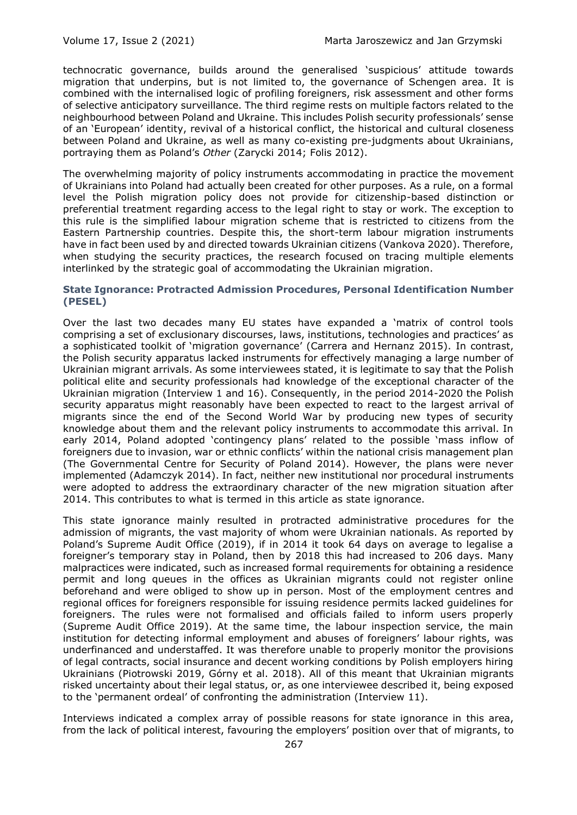technocratic governance, builds around the generalised 'suspicious' attitude towards migration that underpins, but is not limited to, the governance of Schengen area. It is combined with the internalised logic of profiling foreigners, risk assessment and other forms of selective anticipatory surveillance. The third regime rests on multiple factors related to the neighbourhood between Poland and Ukraine. This includes Polish security professionals' sense of an 'European' identity, revival of a historical conflict, the historical and cultural closeness between Poland and Ukraine, as well as many co-existing pre-judgments about Ukrainians, portraying them as Poland's *Other* (Zarycki 2014; Folis 2012).

The overwhelming majority of policy instruments accommodating in practice the movement of Ukrainians into Poland had actually been created for other purposes. As a rule, on a formal level the Polish migration policy does not provide for citizenship-based distinction or preferential treatment regarding access to the legal right to stay or work. The exception to this rule is the simplified labour migration scheme that is restricted to citizens from the Eastern Partnership countries. Despite this, the short-term labour migration instruments have in fact been used by and directed towards Ukrainian citizens (Vankova 2020). Therefore, when studying the security practices, the research focused on tracing multiple elements interlinked by the strategic goal of accommodating the Ukrainian migration.

#### **State Ignorance: Protracted Admission Procedures, Personal Identification Number (PESEL)**

Over the last two decades many EU states have expanded a 'matrix of control tools comprising a set of exclusionary discourses, laws, institutions, technologies and practices' as a sophisticated toolkit of 'migration governance' (Carrera and Hernanz 2015). In contrast, the Polish security apparatus lacked instruments for effectively managing a large number of Ukrainian migrant arrivals. As some interviewees stated, it is legitimate to say that the Polish political elite and security professionals had knowledge of the exceptional character of the Ukrainian migration (Interview 1 and 16). Consequently, in the period 2014-2020 the Polish security apparatus might reasonably have been expected to react to the largest arrival of migrants since the end of the Second World War by producing new types of security knowledge about them and the relevant policy instruments to accommodate this arrival. In early 2014, Poland adopted 'contingency plans' related to the possible 'mass inflow of foreigners due to invasion, war or ethnic conflicts' within the national crisis management plan (The Governmental Centre for Security of Poland 2014). However, the plans were never implemented (Adamczyk 2014). In fact, neither new institutional nor procedural instruments were adopted to address the extraordinary character of the new migration situation after 2014. This contributes to what is termed in this article as state ignorance.

This state ignorance mainly resulted in protracted administrative procedures for the admission of migrants, the vast majority of whom were Ukrainian nationals. As reported by Poland's Supreme Audit Office (2019), if in 2014 it took 64 days on average to legalise a foreigner's temporary stay in Poland, then by 2018 this had increased to 206 days. Many malpractices were indicated, such as increased formal requirements for obtaining a residence permit and long queues in the offices as Ukrainian migrants could not register online beforehand and were obliged to show up in person. Most of the employment centres and regional offices for foreigners responsible for issuing residence permits lacked guidelines for foreigners. The rules were not formalised and officials failed to inform users properly (Supreme Audit Office 2019). At the same time, the labour inspection service, the main institution for detecting informal employment and abuses of foreigners' labour rights, was underfinanced and understaffed. It was therefore unable to properly monitor the provisions of legal contracts, social insurance and decent working conditions by Polish employers hiring Ukrainians (Piotrowski 2019, Górny et al. 2018). All of this meant that Ukrainian migrants risked uncertainty about their legal status, or, as one interviewee described it, being exposed to the 'permanent ordeal' of confronting the administration (Interview 11).

Interviews indicated a complex array of possible reasons for state ignorance in this area, from the lack of political interest, favouring the employers' position over that of migrants, to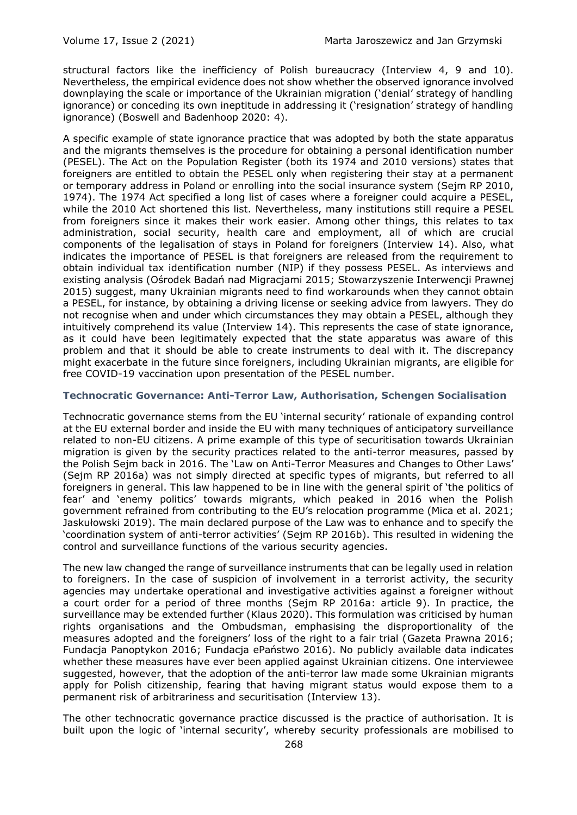structural factors like the inefficiency of Polish bureaucracy (Interview 4, 9 and 10). Nevertheless, the empirical evidence does not show whether the observed ignorance involved downplaying the scale or importance of the Ukrainian migration ('denial' strategy of handling ignorance) or conceding its own ineptitude in addressing it ('resignation' strategy of handling ignorance) (Boswell and Badenhoop 2020: 4).

A specific example of state ignorance practice that was adopted by both the state apparatus and the migrants themselves is the procedure for obtaining a personal identification number (PESEL). The Act on the Population Register (both its 1974 and 2010 versions) states that foreigners are entitled to obtain the PESEL only when registering their stay at a permanent or temporary address in Poland or enrolling into the social insurance system (Sejm RP 2010, 1974). The 1974 Act specified a long list of cases where a foreigner could acquire a PESEL, while the 2010 Act shortened this list. Nevertheless, many institutions still require a PESEL from foreigners since it makes their work easier. Among other things, this relates to tax administration, social security, health care and employment, all of which are crucial components of the legalisation of stays in Poland for foreigners (Interview 14). Also, what indicates the importance of PESEL is that foreigners are released from the requirement to obtain individual tax identification number (NIP) if they possess PESEL. As interviews and existing analysis (Ośrodek Badań nad Migracjami 2015; Stowarzyszenie Interwencji Prawnej 2015) suggest, many Ukrainian migrants need to find workarounds when they cannot obtain a PESEL, for instance, by obtaining a driving license or seeking advice from lawyers. They do not recognise when and under which circumstances they may obtain a PESEL, although they intuitively comprehend its value (Interview 14). This represents the case of state ignorance, as it could have been legitimately expected that the state apparatus was aware of this problem and that it should be able to create instruments to deal with it. The discrepancy might exacerbate in the future since foreigners, including Ukrainian migrants, are eligible for free COVID-19 vaccination upon presentation of the PESEL number.

#### **Technocratic Governance: Anti-Terror Law, Authorisation, Schengen Socialisation**

Technocratic governance stems from the EU 'internal security' rationale of expanding control at the EU external border and inside the EU with many techniques of anticipatory surveillance related to non-EU citizens. A prime example of this type of securitisation towards Ukrainian migration is given by the security practices related to the anti-terror measures, passed by the Polish Sejm back in 2016. The 'Law on Anti-Terror Measures and Changes to Other Laws' (Sejm RP 2016a) was not simply directed at specific types of migrants, but referred to all foreigners in general. This law happened to be in line with the general spirit of 'the politics of fear' and 'enemy politics' towards migrants, which peaked in 2016 when the Polish government refrained from contributing to the EU's relocation programme (Mica et al. 2021; Jaskułowski 2019). The main declared purpose of the Law was to enhance and to specify the 'coordination system of anti-terror activities' (Sejm RP 2016b). This resulted in widening the control and surveillance functions of the various security agencies.

The new law changed the range of surveillance instruments that can be legally used in relation to foreigners. In the case of suspicion of involvement in a terrorist activity, the security agencies may undertake operational and investigative activities against a foreigner without a court order for a period of three months (Sejm RP 2016a: article 9). In practice, the surveillance may be extended further (Klaus 2020). This formulation was criticised by human rights organisations and the Ombudsman, emphasising the disproportionality of the measures adopted and the foreigners' loss of the right to a fair trial (Gazeta Prawna 2016; Fundacja Panoptykon 2016; Fundacja ePaństwo 2016). No publicly available data indicates whether these measures have ever been applied against Ukrainian citizens. One interviewee suggested, however, that the adoption of the anti-terror law made some Ukrainian migrants apply for Polish citizenship, fearing that having migrant status would expose them to a permanent risk of arbitrariness and securitisation (Interview 13).

The other technocratic governance practice discussed is the practice of authorisation. It is built upon the logic of 'internal security', whereby security professionals are mobilised to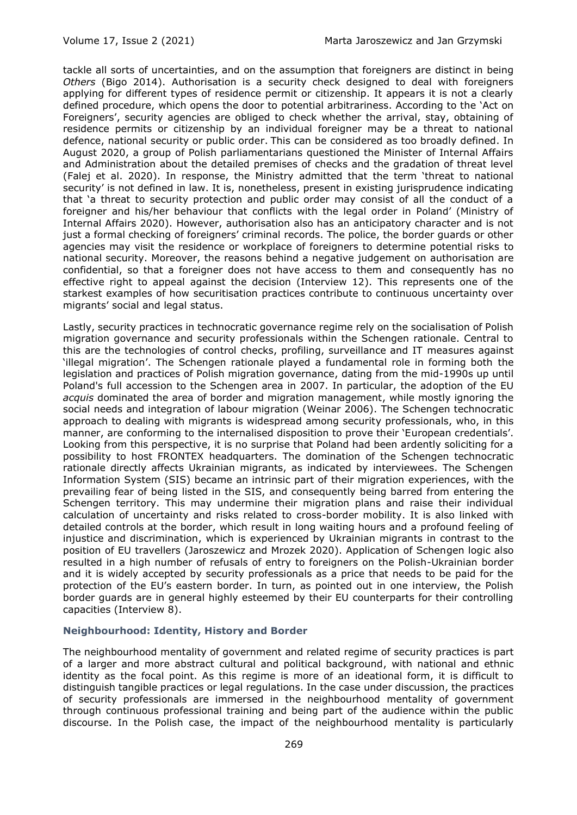tackle all sorts of uncertainties, and on the assumption that foreigners are distinct in being *Others* (Bigo 2014). Authorisation is a security check designed to deal with foreigners applying for different types of residence permit or citizenship. It appears it is not a clearly defined procedure, which opens the door to potential arbitrariness. According to the 'Act on Foreigners', security agencies are obliged to check whether the arrival, stay, obtaining of residence permits or citizenship by an individual foreigner may be a threat to national defence, national security or public order. This can be considered as too broadly defined. In August 2020, a group of Polish parliamentarians questioned the Minister of Internal Affairs and Administration about the detailed premises of checks and the gradation of threat level (Falej et al. 2020). In response, the Ministry admitted that the term 'threat to national security' is not defined in law. It is, nonetheless, present in existing jurisprudence indicating that 'a threat to security protection and public order may consist of all the conduct of a foreigner and his/her behaviour that conflicts with the legal order in Poland' (Ministry of Internal Affairs 2020). However, authorisation also has an anticipatory character and is not just a formal checking of foreigners' criminal records. The police, the border guards or other agencies may visit the residence or workplace of foreigners to determine potential risks to national security. Moreover, the reasons behind a negative judgement on authorisation are confidential, so that a foreigner does not have access to them and consequently has no effective right to appeal against the decision (Interview 12). This represents one of the starkest examples of how securitisation practices contribute to continuous uncertainty over migrants' social and legal status.

Lastly, security practices in technocratic governance regime rely on the socialisation of Polish migration governance and security professionals within the Schengen rationale. Central to this are the technologies of control checks, profiling, surveillance and IT measures against 'illegal migration'. The Schengen rationale played a fundamental role in forming both the legislation and practices of Polish migration governance, dating from the mid-1990s up until Poland's full accession to the Schengen area in 2007. In particular, the adoption of the EU *acquis* dominated the area of border and migration management, while mostly ignoring the social needs and integration of labour migration (Weinar 2006). The Schengen technocratic approach to dealing with migrants is widespread among security professionals, who, in this manner, are conforming to the internalised disposition to prove their 'European credentials'. Looking from this perspective, it is no surprise that Poland had been ardently soliciting for a possibility to host FRONTEX headquarters. The domination of the Schengen technocratic rationale directly affects Ukrainian migrants, as indicated by interviewees. The Schengen Information System (SIS) became an intrinsic part of their migration experiences, with the prevailing fear of being listed in the SIS, and consequently being barred from entering the Schengen territory. This may undermine their migration plans and raise their individual calculation of uncertainty and risks related to cross-border mobility. It is also linked with detailed controls at the border, which result in long waiting hours and a profound feeling of injustice and discrimination, which is experienced by Ukrainian migrants in contrast to the position of EU travellers (Jaroszewicz and Mrozek 2020). Application of Schengen logic also resulted in a high number of refusals of entry to foreigners on the Polish-Ukrainian border and it is widely accepted by security professionals as a price that needs to be paid for the protection of the EU's eastern border. In turn, as pointed out in one interview, the Polish border guards are in general highly esteemed by their EU counterparts for their controlling capacities (Interview 8).

#### **Neighbourhood: Identity, History and Border**

The neighbourhood mentality of government and related regime of security practices is part of a larger and more abstract cultural and political background, with national and ethnic identity as the focal point. As this regime is more of an ideational form, it is difficult to distinguish tangible practices or legal regulations. In the case under discussion, the practices of security professionals are immersed in the neighbourhood mentality of government through continuous professional training and being part of the audience within the public discourse. In the Polish case, the impact of the neighbourhood mentality is particularly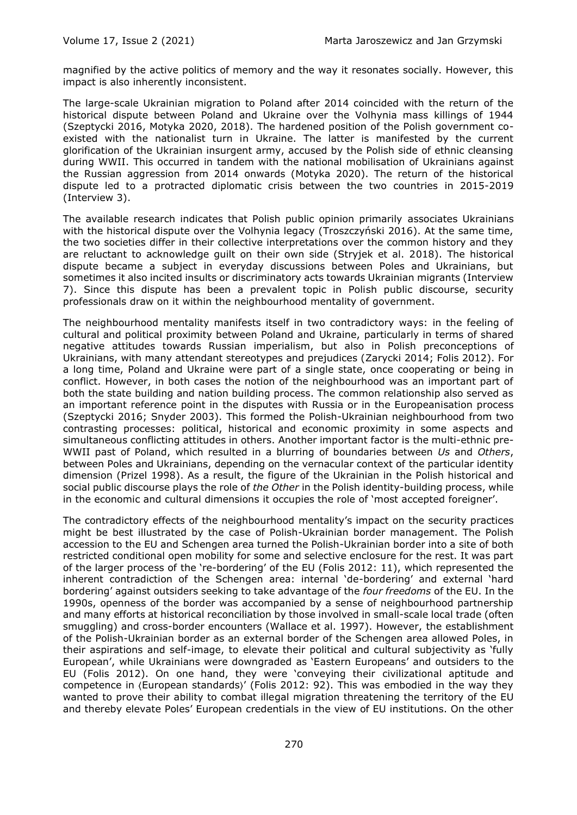magnified by the active politics of memory and the way it resonates socially. However, this impact is also inherently inconsistent.

The large-scale Ukrainian migration to Poland after 2014 coincided with the return of the historical dispute between Poland and Ukraine over the Volhynia mass killings of 1944 (Szeptycki 2016, Motyka 2020, 2018). The hardened position of the Polish government coexisted with the nationalist turn in Ukraine. The latter is manifested by the current glorification of the Ukrainian insurgent army, accused by the Polish side of ethnic cleansing during WWII. This occurred in tandem with the national mobilisation of Ukrainians against the Russian aggression from 2014 onwards (Motyka 2020). The return of the historical dispute led to a protracted diplomatic crisis between the two countries in 2015-2019 (Interview 3).

The available research indicates that Polish public opinion primarily associates Ukrainians with the historical dispute over the Volhynia legacy (Troszczyński 2016). At the same time, the two societies differ in their collective interpretations over the common history and they are reluctant to acknowledge guilt on their own side (Stryjek et al. 2018). The historical dispute became a subject in everyday discussions between Poles and Ukrainians, but sometimes it also incited insults or discriminatory acts towards Ukrainian migrants (Interview 7). Since this dispute has been a prevalent topic in Polish public discourse, security professionals draw on it within the neighbourhood mentality of government.

The neighbourhood mentality manifests itself in two contradictory ways: in the feeling of cultural and political proximity between Poland and Ukraine, particularly in terms of shared negative attitudes towards Russian imperialism, but also in Polish preconceptions of Ukrainians, with many attendant stereotypes and prejudices (Zarycki 2014; Folis 2012). For a long time, Poland and Ukraine were part of a single state, once cooperating or being in conflict. However, in both cases the notion of the neighbourhood was an important part of both the state building and nation building process. The common relationship also served as an important reference point in the disputes with Russia or in the Europeanisation process (Szeptycki 2016; Snyder 2003). This formed the Polish-Ukrainian neighbourhood from two contrasting processes: political, historical and economic proximity in some aspects and simultaneous conflicting attitudes in others. Another important factor is the multi-ethnic pre-WWII past of Poland, which resulted in a blurring of boundaries between *Us* and *Others*, between Poles and Ukrainians, depending on the vernacular context of the particular identity dimension (Prizel 1998). As a result, the figure of the Ukrainian in the Polish historical and social public discourse plays the role of *the Other* in the Polish identity-building process, while in the economic and cultural dimensions it occupies the role of 'most accepted foreigner'.

The contradictory effects of the neighbourhood mentality's impact on the security practices might be best illustrated by the case of Polish-Ukrainian border management. The Polish accession to the EU and Schengen area turned the Polish-Ukrainian border into a site of both restricted conditional open mobility for some and selective enclosure for the rest. It was part of the larger process of the 're-bordering' of the EU (Folis 2012: 11), which represented the inherent contradiction of the Schengen area: internal 'de-bordering' and external 'hard bordering' against outsiders seeking to take advantage of the *four freedoms* of the EU. In the 1990s, openness of the border was accompanied by a sense of neighbourhood partnership and many efforts at historical reconciliation by those involved in small-scale local trade (often smuggling) and cross-border encounters (Wallace et al. 1997). However, the establishment of the Polish-Ukrainian border as an external border of the Schengen area allowed Poles, in their aspirations and self-image, to elevate their political and cultural subjectivity as 'fully European', while Ukrainians were downgraded as 'Eastern Europeans' and outsiders to the EU (Folis 2012). On one hand, they were 'conveying their civilizational aptitude and competence in ⟨European standards⟩' (Folis 2012: 92). This was embodied in the way they wanted to prove their ability to combat illegal migration threatening the territory of the EU and thereby elevate Poles' European credentials in the view of EU institutions. On the other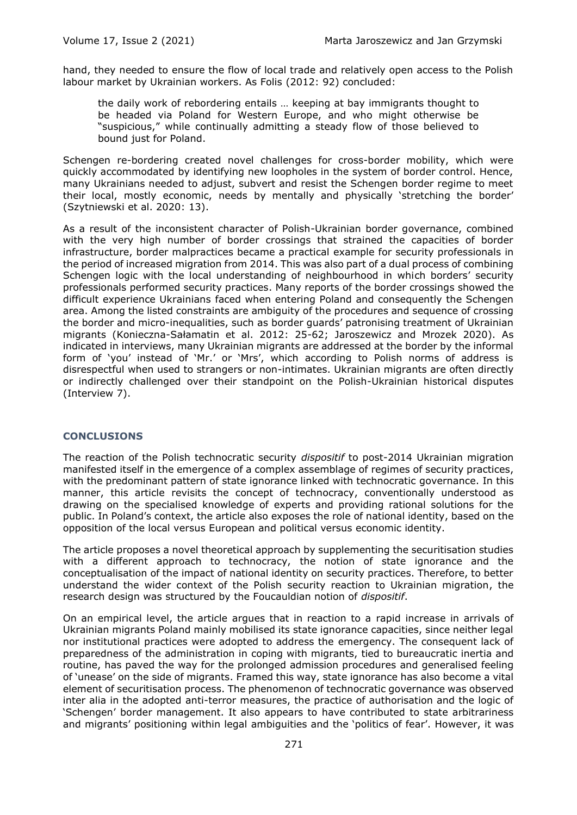hand, they needed to ensure the flow of local trade and relatively open access to the Polish labour market by Ukrainian workers. As Folis (2012: 92) concluded:

the daily work of rebordering entails … keeping at bay immigrants thought to be headed via Poland for Western Europe, and who might otherwise be "suspicious," while continually admitting a steady flow of those believed to bound just for Poland.

Schengen re-bordering created novel challenges for cross-border mobility, which were quickly accommodated by identifying new loopholes in the system of border control. Hence, many Ukrainians needed to adjust, subvert and resist the Schengen border regime to meet their local, mostly economic, needs by mentally and physically 'stretching the border' (Szytniewski et al. 2020: 13).

As a result of the inconsistent character of Polish-Ukrainian border governance, combined with the very high number of border crossings that strained the capacities of border infrastructure, border malpractices became a practical example for security professionals in the period of increased migration from 2014. This was also part of a dual process of combining Schengen logic with the local understanding of neighbourhood in which borders' security professionals performed security practices. Many reports of the border crossings showed the difficult experience Ukrainians faced when entering Poland and consequently the Schengen area. Among the listed constraints are ambiguity of the procedures and sequence of crossing the border and micro-inequalities, such as border guards' patronising treatment of Ukrainian migrants (Konieczna-Sałamatin et al. 2012: 25-62; Jaroszewicz and Mrozek 2020). As indicated in interviews, many Ukrainian migrants are addressed at the border by the informal form of 'you' instead of 'Mr.' or 'Mrs', which according to Polish norms of address is disrespectful when used to strangers or non-intimates. Ukrainian migrants are often directly or indirectly challenged over their standpoint on the Polish-Ukrainian historical disputes (Interview 7).

#### **CONCLUSIONS**

The reaction of the Polish technocratic security *dispositif* to post-2014 Ukrainian migration manifested itself in the emergence of a complex assemblage of regimes of security practices, with the predominant pattern of state ignorance linked with technocratic governance. In this manner, this article revisits the concept of technocracy, conventionally understood as drawing on the specialised knowledge of experts and providing rational solutions for the public. In Poland's context, the article also exposes the role of national identity, based on the opposition of the local versus European and political versus economic identity.

The article proposes a novel theoretical approach by supplementing the securitisation studies with a different approach to technocracy, the notion of state ignorance and the conceptualisation of the impact of national identity on security practices. Therefore, to better understand the wider context of the Polish security reaction to Ukrainian migration, the research design was structured by the Foucauldian notion of *dispositif*.

On an empirical level, the article argues that in reaction to a rapid increase in arrivals of Ukrainian migrants Poland mainly mobilised its state ignorance capacities, since neither legal nor institutional practices were adopted to address the emergency. The consequent lack of preparedness of the administration in coping with migrants, tied to bureaucratic inertia and routine, has paved the way for the prolonged admission procedures and generalised feeling of 'unease' on the side of migrants. Framed this way, state ignorance has also become a vital element of securitisation process. The phenomenon of technocratic governance was observed inter alia in the adopted anti-terror measures, the practice of authorisation and the logic of 'Schengen' border management. It also appears to have contributed to state arbitrariness and migrants' positioning within legal ambiguities and the 'politics of fear'. However, it was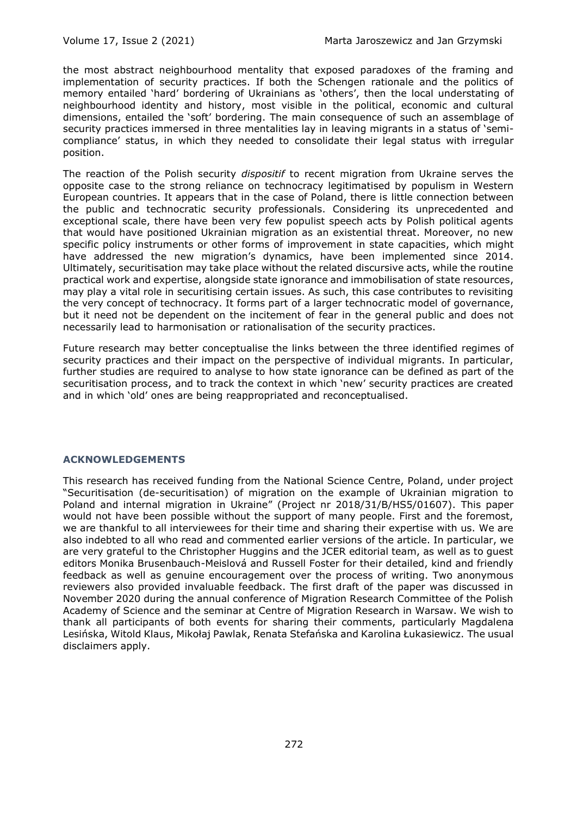the most abstract neighbourhood mentality that exposed paradoxes of the framing and implementation of security practices. If both the Schengen rationale and the politics of memory entailed 'hard' bordering of Ukrainians as 'others', then the local understating of neighbourhood identity and history, most visible in the political, economic and cultural dimensions, entailed the 'soft' bordering. The main consequence of such an assemblage of security practices immersed in three mentalities lay in leaving migrants in a status of 'semicompliance' status, in which they needed to consolidate their legal status with irregular position.

The reaction of the Polish security *dispositif* to recent migration from Ukraine serves the opposite case to the strong reliance on technocracy legitimatised by populism in Western European countries. It appears that in the case of Poland, there is little connection between the public and technocratic security professionals. Considering its unprecedented and exceptional scale, there have been very few populist speech acts by Polish political agents that would have positioned Ukrainian migration as an existential threat. Moreover, no new specific policy instruments or other forms of improvement in state capacities, which might have addressed the new migration's dynamics, have been implemented since 2014. Ultimately, securitisation may take place without the related discursive acts, while the routine practical work and expertise, alongside state ignorance and immobilisation of state resources, may play a vital role in securitising certain issues. As such, this case contributes to revisiting the very concept of technocracy. It forms part of a larger technocratic model of governance, but it need not be dependent on the incitement of fear in the general public and does not necessarily lead to harmonisation or rationalisation of the security practices.

Future research may better conceptualise the links between the three identified regimes of security practices and their impact on the perspective of individual migrants. In particular, further studies are required to analyse to how state ignorance can be defined as part of the securitisation process, and to track the context in which 'new' security practices are created and in which 'old' ones are being reappropriated and reconceptualised.

#### **ACKNOWLEDGEMENTS**

This research has received funding from the National Science Centre, Poland, under project "Securitisation (de-securitisation) of migration on the example of Ukrainian migration to Poland and internal migration in Ukraine" (Project nr 2018/31/B/HS5/01607). This paper would not have been possible without the support of many people. First and the foremost, we are thankful to all interviewees for their time and sharing their expertise with us. We are also indebted to all who read and commented earlier versions of the article. In particular, we are very grateful to the Christopher Huggins and the JCER editorial team, as well as to guest editors Monika Brusenbauch-Meislová and Russell Foster for their detailed, kind and friendly feedback as well as genuine encouragement over the process of writing. Two anonymous reviewers also provided invaluable feedback. The first draft of the paper was discussed in November 2020 during the annual conference of Migration Research Committee of the Polish Academy of Science and the seminar at Centre of Migration Research in Warsaw. We wish to thank all participants of both events for sharing their comments, particularly Magdalena Lesińska, Witold Klaus, Mikołaj Pawlak, Renata Stefańska and Karolina Łukasiewicz. The usual disclaimers apply.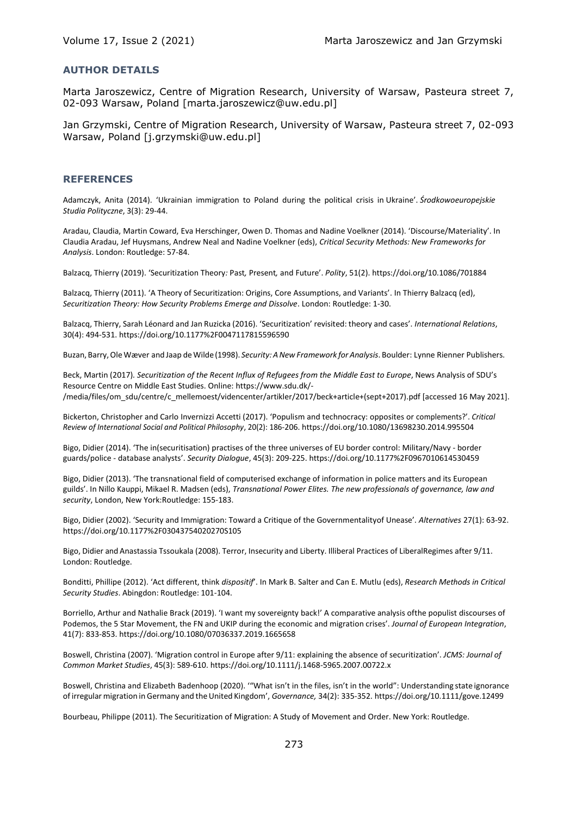#### **AUTHOR DETAILS**

Marta Jaroszewicz, Centre of Migration Research, University of Warsaw, Pasteura street 7, 02-093 Warsaw, Poland [marta.jaroszewicz@uw.edu.pl]

Jan Grzymski, Centre of Migration Research, University of Warsaw, Pasteura street 7, 02-093 Warsaw, Poland [j.grzymski@uw.edu.pl]

#### **REFERENCES**

Adamczyk, Anita (2014). 'Ukrainian immigration to Poland during the political crisis in Ukraine'. *Środkowoeuropejskie Studia Polityczne*, 3(3): 29-44.

Aradau, Claudia, Martin Coward, Eva Herschinger, Owen D. Thomas and Nadine Voelkner (2014). 'Discourse/Materiality'. In Claudia Aradau, Jef Huysmans, Andrew Neal and Nadine Voelkner (eds), *Critical Security Methods: New Frameworks for Analysis*. London: Routledge: 57-84.

Balzacq, Thierry (2019). 'Securitization Theory*:* Past*,* Present*,* and Future'. *Polity*, 51(2). https://doi.org/10.1086/701884

Balzacq, Thierry (2011). 'A Theory of Securitization: Origins, Core Assumptions, and Variants'. In Thierry Balzacq (ed), *Securitization Theory: How Security Problems Emerge and Dissolve*. London: Routledge: 1-30.

Balzacq, Thierry, Sarah Léonard and Jan Ruzicka (2016). 'Securitization' revisited: theory and cases'. *International Relations*, 30(4): 494-531. https://doi.org/10.1177%2F0047117815596590

Buzan, Barry,OleWæver and Jaap deWilde (1998). *Security: ANew Framework for Analysis*. Boulder: Lynne Rienner Publishers.

Beck, Martin (2017)*. Securitization of the Recent Influx of Refugees from the Middle East to Europe*, News Analysis of SDU's Resource Centre on Middle East Studies. Online: https://www.sdu.dk/- /media/files/om\_sdu/centre/c\_mellemoest/videncenter/artikler/2017/beck+article+(sept+2017).pdf [accessed 16 May 2021].

Bickerton, Christopher and Carlo Invernizzi Accetti (2017). 'Populism and technocracy: opposites or complements?'. *Critical Review of International Social and Political Philosophy*, 20(2): 186-206. https://doi.org/10.1080/13698230.2014.995504

Bigo, Didier (2014). 'The in(securitisation) practises of the three universes of EU border control: Military/Navy - border guards/police - database analysts'. *Security Dialogue*, 45(3): 209-225. https://doi.org/10.1177%2F0967010614530459

Bigo, Didier (2013). 'The transnational field of computerised exchange of information in police matters and its European guilds'. In Nillo Kauppi, Mikael R. Madsen (eds), *Transnational Power Elites. The new professionals of governance, law and security*, London, New York:Routledge: 155-183.

Bigo, Didier (2002). 'Security and Immigration: Toward a Critique of the Governmentalityof Unease'. *Alternatives* 27(1): 63-92. https://doi.org/10.1177%2F03043754020270S105

Bigo, Didier and Anastassia Tssoukala (2008). Terror, Insecurity and Liberty. Illiberal Practices of LiberalRegimes after 9/11. London: Routledge.

Bonditti, Phillipe (2012). 'Act different, think *dispositif*'. In Mark B. Salter and Can E. Mutlu (eds), *Research Methods in Critical Security Studies*. Abingdon: Routledge: 101-104.

Borriello, Arthur and Nathalie Brack (2019). 'I want my sovereignty back!' A comparative analysis ofthe populist discourses of Podemos, the 5 Star Movement, the FN and UKIP during the economic and migration crises'. *Journal of European Integration*, 41(7): 833-853. https://doi.org/10.1080/07036337.2019.1665658

Boswell, Christina (2007). 'Migration control in Europe after 9/11: explaining the absence of securitization'. *JCMS: Journal of Common Market Studies*, 45(3): 589-610. https://doi.org/10.1111/j.1468-5965.2007.00722.x

Boswell, Christina and Elizabeth Badenhoop (2020). '"What isn't in the files, isn't in the world": Understanding state ignorance of irregularmigration in Germany and theUnited Kingdom', *Governance,* 34(2): 335-352. https://doi.org/10.1111/gove.12499

Bourbeau, Philippe (2011). The Securitization of Migration: A Study of Movement and Order. New York: Routledge.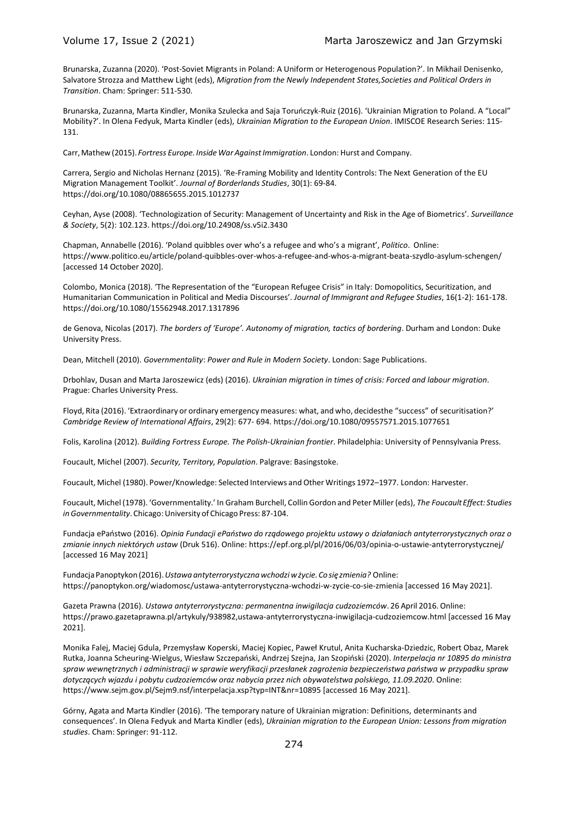Brunarska, Zuzanna (2020). 'Post-Soviet Migrants in Poland: A Uniform or Heterogenous Population?'. In Mikhail Denisenko, Salvatore Strozza and Matthew Light (eds), *Migration from the Newly Independent States,Societies and Political Orders in Transition*. Cham: Springer: 511-530.

Brunarska, Zuzanna, Marta Kindler, Monika Szulecka and Saja Toruńczyk-Ruiz (2016). 'Ukrainian Migration to Poland. A "Local" Mobility?'. In Olena Fedyuk, Marta Kindler (eds), *Ukrainian Migration to the European Union*. IMISCOE Research Series: 115- 131.

Carr,Mathew (2015). *Fortress Europe. Inside WarAgainstImmigration*. London: Hurst and Company.

Carrera, Sergio and Nicholas Hernanz (2015). 'Re-Framing Mobility and Identity Controls: The Next Generation of the EU Migration Management Toolkit'. *Journal of Borderlands Studies*, 30(1): 69-84. https://doi.org/10.1080/08865655.2015.1012737

Ceyhan, Ayse (2008). 'Technologization of Security: Management of Uncertainty and Risk in the Age of Biometrics'. *Surveillance & Society*, 5(2): 102.123. https://doi.org/10.24908/ss.v5i2.3430

Chapman, Annabelle (2016). 'Poland quibbles over who's a refugee and who's a migrant', *Politico*. Online: https://www.politico.eu/article/poland-quibbles-over-whos-a-refugee-and-whos-a-migrant-beata-szydlo-asylum-schengen/ [accessed 14 October 2020].

Colombo, Monica (2018). 'The Representation of the "European Refugee Crisis" in Italy: Domopolitics, Securitization, and Humanitarian Communication in Political and Media Discourses'. *Journal of Immigrant and Refugee Studies*, 16(1-2): 161-178. https://doi.org/10.1080/15562948.2017.1317896

de Genova, Nicolas (2017). *The borders of 'Europe'. Autonomy of migration, tactics of bordering*. Durham and London: Duke University Press.

Dean, Mitchell (2010). *Governmentality*: *Power and Rule in Modern Society*. London: Sage Publications.

Drbohlav, Dusan and Marta Jaroszewicz (eds) (2016). *Ukrainian migration in times of crisis: Forced and labour migration*. Prague: Charles University Press.

Floyd, Rita (2016). 'Extraordinary or ordinary emergency measures: what, and who, decidesthe "success" of securitisation?' *Cambridge Review of International Affairs*, 29(2): 677- 694. https://doi.org/10.1080/09557571.2015.1077651

Folis, Karolina (2012). *Building Fortress Europe. The Polish-Ukrainian frontier*. Philadelphia: University of Pennsylvania Press.

Foucault, Michel (2007). *Security, Territory, Population*. Palgrave: Basingstoke.

Foucault, Michel (1980). Power/Knowledge: Selected Interviews and Other Writings 1972–1977. London: Harvester.

Foucault, Michel (1978). 'Governmentality.' In Graham Burchell, Collin Gordon and Peter Miller (eds), *The FoucaultEffect: Studies inGovernmentality*. Chicago:University of Chicago Press: 87-104.

Fundacja ePaństwo (2016). *Opinia Fundacji ePaństwo do rządowego projektu ustawy o działaniach antyterrorystycznych oraz o zmianie innych niektórych ustaw* (Druk 516). Online: https://epf.org.pl/pl/2016/06/03/opinia-o-ustawie-antyterrorystycznej/ [accessed 16 May 2021]

FundacjaPanoptykon(2016).*Ustawa antyterrorystycznawchodziwżycie.Cosię zmienia?* Online: https://panoptykon.org/wiadomosc/ustawa-antyterrorystyczna-wchodzi-w-zycie-co-sie-zmienia [accessed 16 May 2021].

Gazeta Prawna (2016). *Ustawa antyterrorystyczna: permanentna inwigilacja cudzoziemców*. 26 April 2016.Online: https://prawo.gazetaprawna.pl/artykuly/938982,ustawa-antyterrorystyczna-inwigilacja-cudzoziemcow.html [accessed 16 May 2021].

Monika Falej, Maciej Gdula, Przemysław Koperski, Maciej Kopiec, Paweł Krutul, Anita Kucharska-Dziedzic, Robert Obaz, Marek Rutka, Joanna Scheuring-Wielgus, Wiesław Szczepański, Andrzej Szejna, Jan Szopiński (2020). *Interpelacja nr 10895 do ministra spraw wewnętrznych i administracji w sprawie weryfikacji przesłanek zagrożenia bezpieczeństwa państwa w przypadku spraw dotyczących wjazdu i pobytu cudzoziemców oraz nabycia przez nich obywatelstwa polskiego, 11.09.2020*. Online: https://www.sejm.gov.pl/Sejm9.nsf/interpelacja.xsp?typ=INT&nr=10895 [accessed 16 May 2021].

Górny, Agata and Marta Kindler (2016). 'The temporary nature of Ukrainian migration: Definitions, determinants and consequences'. In Olena Fedyuk and Marta Kindler (eds), *Ukrainian migration to the European Union: Lessons from migration studies*. Cham: Springer: 91-112.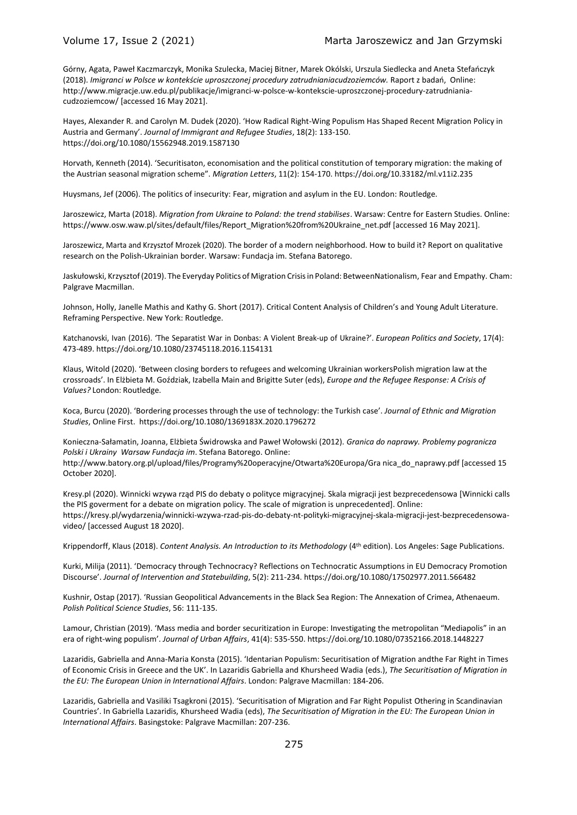Górny, Agata, Paweł Kaczmarczyk, Monika Szulecka, Maciej Bitner, Marek Okólski, Urszula Siedlecka and Aneta Stefańczyk (2018). *Imigranci w Polsce w kontekście uproszczonej procedury zatrudnianiacudzoziemców. Raport z badań, Online:* http://www.migracje.uw.edu.pl/publikacje/imigranci-w-polsce-w-kontekscie-uproszczonej-procedury-zatrudnianiacudzoziemcow/ [accessed 16 May 2021].

Hayes, Alexander R. and Carolyn M. Dudek (2020). 'How Radical Right-Wing Populism Has Shaped Recent Migration Policy in Austria and Germany'. *Journal of Immigrant and Refugee Studies*, 18(2): 133-150. https://doi.org/10.1080/15562948.2019.1587130

Horvath, Kenneth (2014). 'Securitisaton, economisation and the political constitution of temporary migration: the making of the Austrian seasonal migration scheme". *Migration Letters*, 11(2): 154-170. https://doi.org/10.33182/ml.v11i2.235

Huysmans, Jef (2006). The politics of insecurity: Fear, migration and asylum in the EU. London: Routledge.

Jaroszewicz, Marta (2018). *Migration from Ukraine to Poland: the trend stabilises*. Warsaw: Centre for Eastern Studies. Online: https://www.osw.waw.pl/sites/default/files/Report\_Migration%20from%20Ukraine\_net.pdf [accessed 16 May 2021].

Jaroszewicz, Marta and Krzysztof Mrozek (2020). The border of a modern neighborhood. How to build it? Report on qualitative research on the Polish-Ukrainian border. Warsaw: Fundacja im. Stefana Batorego.

Jaskułowski, Krzysztof(2019). The Everyday Politics of Migration Crisisin Poland: BetweenNationalism, Fear and Empathy. Cham: Palgrave Macmillan.

Johnson, Holly, Janelle Mathis and Kathy G. Short (2017). Critical Content Analysis of Children's and Young Adult Literature. Reframing Perspective. New York: Routledge.

Katchanovski, Ivan (2016). 'The Separatist War in Donbas: A Violent Break-up of Ukraine?'. *European Politics and Society*, 17(4): 473-489. https://doi.org/10.1080/23745118.2016.1154131

Klaus, Witold (2020). 'Between closing borders to refugees and welcoming Ukrainian workersPolish migration law at the crossroads'. In Elżbieta M. Goździak, Izabella Main and Brigitte Suter (eds), *Europe and the Refugee Response: A Crisis of Values?* London: Routledge.

Koca, Burcu (2020). 'Bordering processes through the use of technology: the Turkish case'. *Journal of Ethnic and Migration Studies*, Online First. https://doi.org/10.1080/1369183X.2020.1796272

Konieczna-Sałamatin, Joanna, Elżbieta Świdrowska and Paweł Wołowski (2012). *Granica do naprawy. Problemy pogranicza Polski i Ukrainy Warsaw Fundacja im*. Stefana Batorego. Online: http://www.batory.org.pl/upload/files/Programy%20operacyjne/Otwarta%20Europa/Gra nica\_do\_naprawy.pdf [accessed 15 October 2020].

Kresy.pl (2020). Winnicki wzywa rząd PIS do debaty o polityce migracyjnej. Skala migracji jest bezprecedensowa [Winnicki calls the PIS goverment for a debate on migration policy. The scale of migration is unprecedented]. Online: https://kresy.pl/wydarzenia/winnicki-wzywa-rzad-pis-do-debaty-nt-polityki-migracyjnej-skala-migracji-jest-bezprecedensowavideo/ [accessed August 18 2020].

Krippendorff, Klaus (2018). *Content Analysis. An Introduction to its Methodology* (4th edition). Los Angeles: Sage Publications.

Kurki, Milija (2011). 'Democracy through Technocracy? Reflections on Technocratic Assumptions in EU Democracy Promotion Discourse'. *Journal of Intervention and Statebuilding*, 5(2): 211-234. https://doi.org/10.1080/17502977.2011.566482

Kushnir, Ostap (2017). 'Russian Geopolitical Advancements in the Black Sea Region: The Annexation of Crimea, Athenaeum. *Polish Political Science Studies*, 56: 111-135.

Lamour, Christian (2019). 'Mass media and border securitization in Europe: Investigating the metropolitan "Mediapolis" in an era of right-wing populism'. *Journal of Urban Affairs*, 41(4): 535-550. https://doi.org/10.1080/07352166.2018.1448227

Lazaridis, Gabriella and Anna-Maria Konsta (2015). 'Identarian Populism: Securitisation of Migration andthe Far Right in Times of Economic Crisis in Greece and the UK'. In Lazaridis Gabriella and Khursheed Wadia (eds.), *The Securitisation of Migration in the EU: The European Union in International Affairs*. London: Palgrave Macmillan: 184-206.

Lazaridis, Gabriella and Vasiliki Tsagkroni (2015). 'Securitisation of Migration and Far Right Populist Othering in Scandinavian Countries'. In Gabriella Lazaridis, Khursheed Wadia (eds), *The Securitisation of Migration in the EU: The European Union in International Affairs*. Basingstoke: Palgrave Macmillan: 207-236.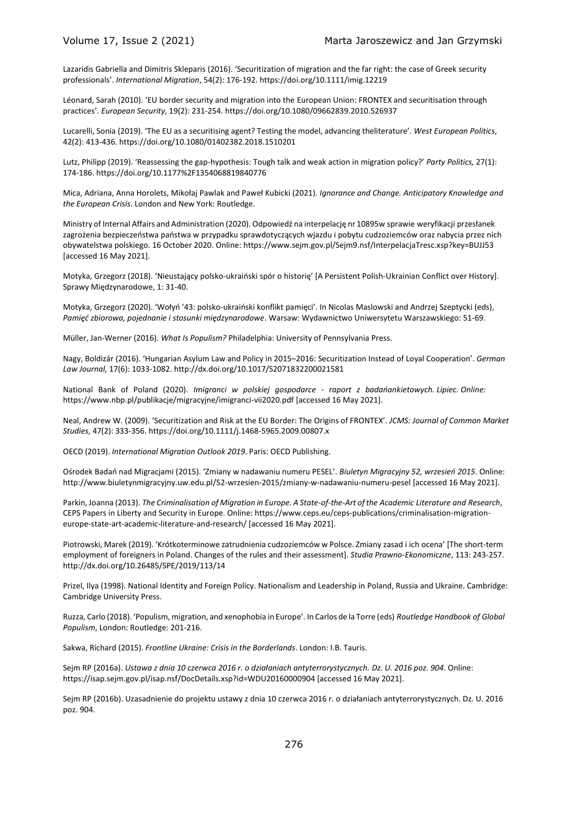Lazaridis Gabriella and Dimitris Skleparis (2016). 'Securitization of migration and the far right: the case of Greek security professionals'. *International Migration*, 54(2): 176-192. https://doi.org/10.1111/imig.12219

Léonard, Sarah (2010). 'EU border security and migration into the European Union: FRONTEX and securitisation through practices'. *European Security*, 19(2): 231-254. https://doi.org/10.1080/09662839.2010.526937

Lucarelli, Sonia (2019). 'The EU as a securitising agent? Testing the model, advancing theliterature'. *West European Politics*, 42(2): 413-436. https://doi.org/10.1080/01402382.2018.1510201

Lutz, Philipp (2019). 'Reassessing the gap-hypothesis: Tough talk and weak action in migration policy?' *Party Politics,* 27(1): 174-186. https://doi.org/10.1177%2F1354068819840776

Mica, Adriana, Anna Horolets, Mikołaj Pawlak and Paweł Kubicki (2021). *Ignorance and Change. Anticipatory Knowledge and the European Crisis*. London and New York: Routledge.

Ministry of Internal Affairs and Administration (2020). Odpowiedź na interpelację nr 10895w sprawie weryfikacji przesłanek zagrożenia bezpieczeństwa państwa w przypadku sprawdotyczących wjazdu i pobytu cudzoziemców oraz nabycia przez nich obywatelstwa polskiego. 16 October 2020. Online: https://www.sejm.gov.pl/Sejm9.nsf/InterpelacjaTresc.xsp?key=BUJJ53 [accessed 16 May 2021].

Motyka, Grzegorz (2018). 'Nieustający polsko-ukraiński spór o historię' [A Persistent Polish-Ukrainian Conflict over History]. Sprawy Międzynarodowe, 1: 31-40.

Motyka, Grzegorz (2020). 'Wołyń '43: polsko-ukraiński konflikt pamięci'. In Nicolas Maslowski and Andrzej Szeptycki (eds), *Pamięć zbiorowa, pojednanie i stosunki międzynarodowe*. Warsaw: Wydawnictwo Uniwersytetu Warszawskiego: 51-69.

Müller, Jan-Werner (2016). *What Is Populism?* Philadelphia: University of Pennsylvania Press.

Nagy, Boldizár (2016). 'Hungarian Asylum Law and Policy in 2015–2016: Securitization Instead of Loyal Cooperation'. *German Law Journal,* 17(6): 1033-1082. http://dx.doi.org/10.1017/S2071832200021581

National Bank of Poland (2020). *Imigranci w polskiej gospodarce - raport z badańankietowych. Lipiec. Online:*  https://www.nbp.pl/publikacje/migracyjne/imigranci-vii2020.pdf [accessed 16 May 2021].

Neal, Andrew W. (2009). 'Securitization and Risk at the EU Border: The Origins of FRONTEX'. *JCMS: Journal of Common Market Studies*, 47(2): 333-356. https://doi.org/10.1111/j.1468-5965.2009.00807.x

OECD (2019). *International Migration Outlook 2019*. Paris: OECD Publishing.

Ośrodek Badań nad Migracjami (2015). 'Zmiany w nadawaniu numeru PESEL'. *Biuletyn Migracyjny 52, wrzesień 2015*. Online: http://www.biuletynmigracyjny.uw.edu.pl/52-wrzesien-2015/zmiany-w-nadawaniu-numeru-pesel [accessed 16 May 2021].

Parkin, Joanna (2013). *The Criminalisation of Migration in Europe. A State-of-the-Art ofthe Academic Literature and Research*, CEPS Papers in Liberty and Security in Europe. Online: https://www.ceps.eu/ceps-publications/criminalisation-migrationeurope-state-art-academic-literature-and-research/ [accessed 16 May 2021].

Piotrowski, Marek (2019). 'Krótkoterminowe zatrudnienia cudzoziemców w Polsce. Zmiany zasad i ich ocena' [The short-term employment of foreigners in Poland. Changes of the rules and their assessment]. *Studia Prawno-Ekonomiczne*, 113: 243-257. http://dx.doi.org/10.26485/SPE/2019/113/14

Prizel, Ilya (1998). National Identity and Foreign Policy. Nationalism and Leadership in Poland, Russia and Ukraine. Cambridge: Cambridge University Press.

Ruzza, Carlo (2018). 'Populism, migration, and xenophobia in Europe'. In Carlos de la Torre (eds) *Routledge Handbook of Global Populism*, London: Routledge: 201-216.

Sakwa, Richard (2015). *Frontline Ukraine: Crisis in the Borderlands*. London: I.B. Tauris.

Sejm RP (2016a). *Ustawa z dnia 10 czerwca 2016 r. o działaniach antyterrorystycznych. Dz. U. 2016 poz. 904*. Online: https://isap.sejm.gov.pl/isap.nsf/DocDetails.xsp?id=WDU20160000904 [accessed 16 May 2021].

Sejm RP (2016b). Uzasadnienie do projektu ustawy z dnia 10 czerwca 2016 r. o działaniach antyterrorystycznych. Dz. U. 2016 poz. 904.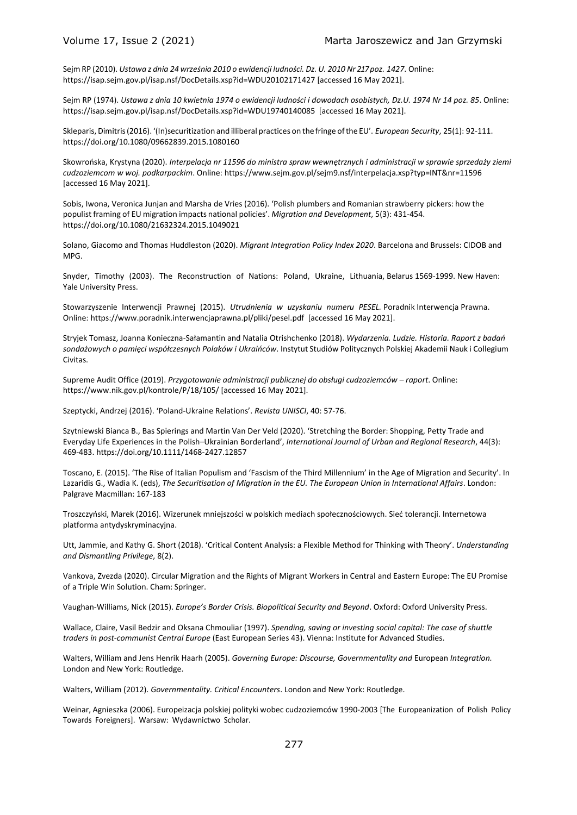Sejm RP (2010). *Ustawa z dnia 24 września 2010 o ewidencji ludności. Dz. U. 2010 Nr 217 poz. 1427*. Online: https://isap.sejm.gov.pl/isap.nsf/DocDetails.xsp?id=WDU20102171427 [accessed 16 May 2021].

Sejm RP (1974). *Ustawa z dnia 10 kwietnia 1974 o ewidencji ludności i dowodach osobistych, Dz.U. 1974 Nr 14 poz. 85*. Online: https://isap.sejm.gov.pl/isap.nsf/DocDetails.xsp?id=WDU19740140085 [accessed 16 May 2021].

Skleparis,Dimitris(2016). '(In)securitization and illiberal practices on the fringe ofthe EU'. *European Security*, 25(1): 92-111. https://doi.org/10.1080/09662839.2015.1080160

Skowrońska, Krystyna (2020). *Interpelacja nr 11596 do ministra spraw wewnętrznych i administracji w sprawie sprzedaży ziemi cudzoziemcom w woj. podkarpackim*. Online: https://www.sejm.gov.pl/sejm9.nsf/interpelacja.xsp?typ=INT&nr=11596 [accessed 16 May 2021].

Sobis, Iwona, Veronica Junjan and Marsha de Vries (2016). 'Polish plumbers and Romanian strawberry pickers: how the populist framing of EU migration impacts national policies'. *Migration and Development*, 5(3): 431-454. https://doi.org/10.1080/21632324.2015.1049021

Solano, Giacomo and Thomas Huddleston (2020). *Migrant Integration Policy Index 2020*. Barcelona and Brussels: CIDOB and MPG.

Snyder, Timothy (2003). The Reconstruction of Nations: Poland, Ukraine, Lithuania, Belarus 1569-1999. New Haven: Yale University Press.

Stowarzyszenie Interwencji Prawnej (2015). *Utrudnienia w uzyskaniu numeru PESEL.* Poradnik Interwencja Prawna. Online: https://www.poradnik.interwencjaprawna.pl/pliki/pesel.pdf [accessed 16 May 2021].

Stryjek Tomasz, Joanna Konieczna-Sałamantin and Natalia Otrishchenko (2018). *Wydarzenia. Ludzie. Historia. Raport z badań sondażowych o pamięci współczesnych Polaków i Ukraińców*. Instytut Studiów Politycznych Polskiej Akademii Nauk i Collegium **Civitas** 

Supreme Audit Office (2019). *Przygotowanie administracji publicznej do obsługi cudzoziemców – raport*. Online: https://www.nik.gov.pl/kontrole/P/18/105/ [accessed 16 May 2021].

Szeptycki, Andrzej (2016). 'Poland-Ukraine Relations'. *Revista UNISCI*, 40: 57-76.

Szytniewski Bianca B., Bas Spierings and Martin Van Der Veld (2020). 'Stretching the Border: Shopping, Petty Trade and Everyday Life Experiences in the Polish–Ukrainian Borderland', *International Journal of Urban and Regional Research*, 44(3): 469-483. https://doi.org/10.1111/1468-2427.12857

Toscano, E. (2015). 'The Rise of Italian Populism and 'Fascism of the Third Millennium' in the Age of Migration and Security'. In Lazaridis G., Wadia K. (eds), *The Securitisation of Migration in the EU. The European Union in International Affairs*. London: Palgrave Macmillan: 167-183

Troszczyński, Marek (2016). Wizerunek mniejszości w polskich mediach społecznościowych. Sieć tolerancji. Internetowa platforma antydyskryminacyjna.

Utt, Jammie, and Kathy G. Short (2018). 'Critical Content Analysis: a Flexible Method for Thinking with Theory'. *Understanding and Dismantling Privilege*, 8(2).

Vankova, Zvezda (2020). Circular Migration and the Rights of Migrant Workers in Central and Eastern Europe: The EU Promise of a Triple Win Solution. Cham: Springer.

Vaughan-Williams, Nick (2015). *Europe's Border Crisis. Biopolitical Security and Beyond*. Oxford: Oxford University Press.

Wallace, Claire, Vasil Bedzir and Oksana Chmouliar (1997). *Spending, saving or investing social capital: The case of shuttle traders in post-communist Central Europe* (East European Series 43). Vienna: Institute for Advanced Studies.

Walters, William and Jens Henrik Haarh (2005). *Governing Europe: Discourse, Governmentality and* European *Integration.*  London and New York: Routledge.

Walters, William (2012). *Governmentality. Critical Encounters*. London and New York: Routledge.

Weinar, Agnieszka (2006). Europeizacja polskiej polityki wobec cudzoziemców 1990-2003 [The Europeanization of Polish Policy Towards Foreigners]. Warsaw: Wydawnictwo Scholar.